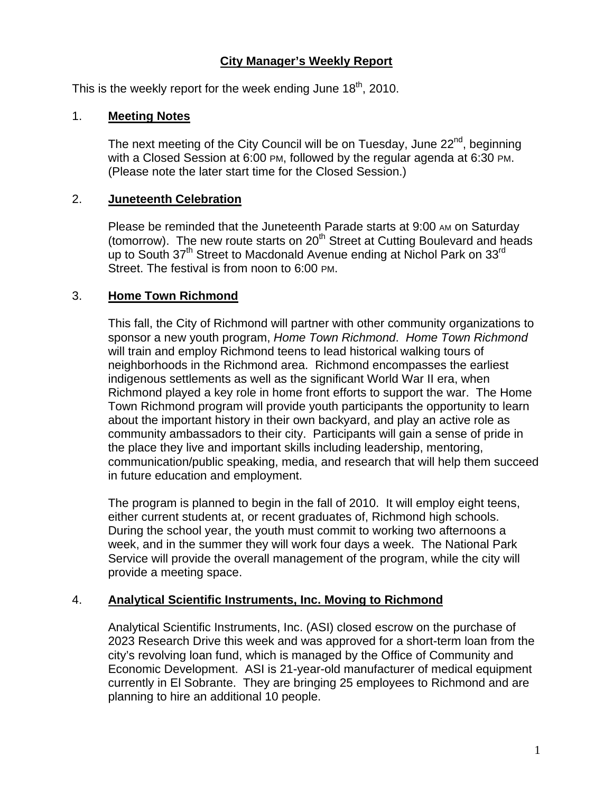# **City Manager's Weekly Report**

This is the weekly report for the week ending June  $18<sup>th</sup>$ , 2010.

## 1. **Meeting Notes**

The next meeting of the City Council will be on Tuesday, June  $22<sup>nd</sup>$ , beginning with a Closed Session at 6:00 PM, followed by the regular agenda at 6:30 PM. (Please note the later start time for the Closed Session.)

#### 2. **Juneteenth Celebration**

Please be reminded that the Juneteenth Parade starts at 9:00 AM on Saturday (tomorrow). The new route starts on 20<sup>th</sup> Street at Cutting Boulevard and heads up to South 37<sup>th</sup> Street to Macdonald Avenue ending at Nichol Park on 33<sup>rd</sup> Street. The festival is from noon to 6:00 PM.

## 3. **Home Town Richmond**

This fall, the City of Richmond will partner with other community organizations to sponsor a new youth program, *Home Town Richmond*. *Home Town Richmond* will train and employ Richmond teens to lead historical walking tours of neighborhoods in the Richmond area. Richmond encompasses the earliest indigenous settlements as well as the significant World War II era, when Richmond played a key role in home front efforts to support the war. The Home Town Richmond program will provide youth participants the opportunity to learn about the important history in their own backyard, and play an active role as community ambassadors to their city. Participants will gain a sense of pride in the place they live and important skills including leadership, mentoring, communication/public speaking, media, and research that will help them succeed in future education and employment.

The program is planned to begin in the fall of 2010. It will employ eight teens, either current students at, or recent graduates of, Richmond high schools. During the school year, the youth must commit to working two afternoons a week, and in the summer they will work four days a week. The National Park Service will provide the overall management of the program, while the city will provide a meeting space.

## 4. **Analytical Scientific Instruments, Inc. Moving to Richmond**

Analytical Scientific Instruments, Inc. (ASI) closed escrow on the purchase of 2023 Research Drive this week and was approved for a short-term loan from the city's revolving loan fund, which is managed by the Office of Community and Economic Development. ASI is 21-year-old manufacturer of medical equipment currently in El Sobrante. They are bringing 25 employees to Richmond and are planning to hire an additional 10 people.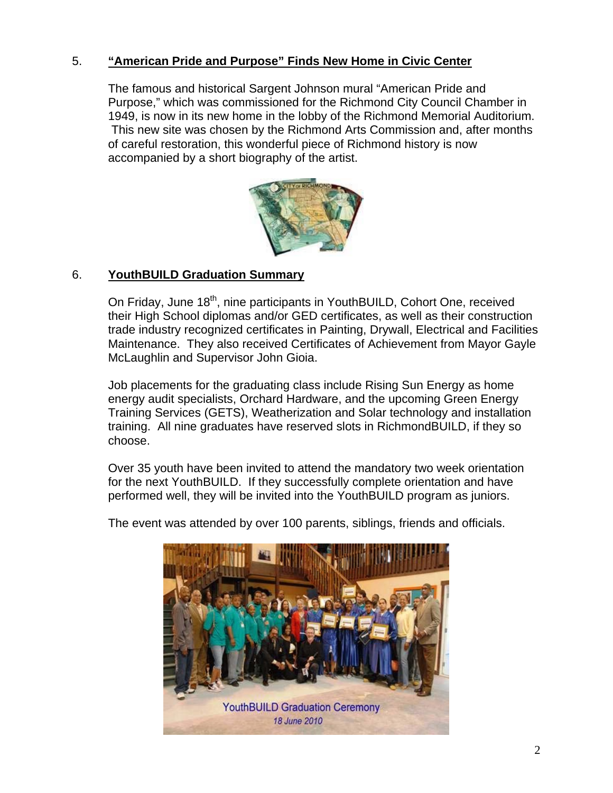# 5. **"American Pride and Purpose" Finds New Home in Civic Center**

The famous and historical Sargent Johnson mural "American Pride and Purpose," which was commissioned for the Richmond City Council Chamber in 1949, is now in its new home in the lobby of the Richmond Memorial Auditorium. This new site was chosen by the Richmond Arts Commission and, after months of careful restoration, this wonderful piece of Richmond history is now accompanied by a short biography of the artist.



# 6. **YouthBUILD Graduation Summary**

On Friday, June 18<sup>th</sup>, nine participants in YouthBUILD, Cohort One, received their High School diplomas and/or GED certificates, as well as their construction trade industry recognized certificates in Painting, Drywall, Electrical and Facilities Maintenance. They also received Certificates of Achievement from Mayor Gayle McLaughlin and Supervisor John Gioia.

Job placements for the graduating class include Rising Sun Energy as home energy audit specialists, Orchard Hardware, and the upcoming Green Energy Training Services (GETS), Weatherization and Solar technology and installation training. All nine graduates have reserved slots in RichmondBUILD, if they so choose.

Over 35 youth have been invited to attend the mandatory two week orientation for the next YouthBUILD. If they successfully complete orientation and have performed well, they will be invited into the YouthBUILD program as juniors.



The event was attended by over 100 parents, siblings, friends and officials.